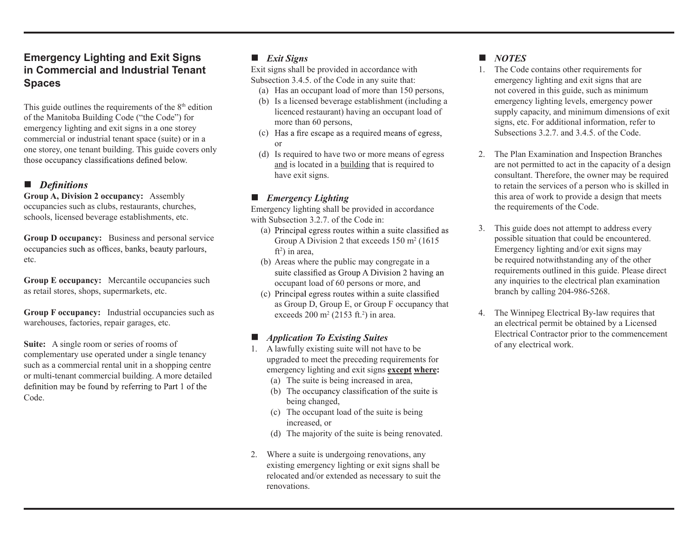## **Emergency Lighting and Exit Signs in Commercial and Industrial Tenant Spaces**

This guide outlines the requirements of the  $8<sup>th</sup>$  edition of the Manitoba Building Code ("the Code") for emergency lighting and exit signs in a one storey commercial or industrial tenant space (suite) or in a one storey, one tenant building. This guide covers only

#### $\blacksquare$  Definitions

**Group A, Division 2 occupancy:** Assembly occupancies such as clubs, restaurants, churches, schools, licensed beverage establishments, etc.

**Group D occupancy:** Business and personal service occupancies such as offices, banks, beauty parlours, etc.

**Group E occupancy:** Mercantile occupancies such as retail stores, shops, supermarkets, etc.

**Group F occupancy:** Industrial occupancies such as warehouses, factories, repair garages, etc.

**Suite:** A single room or series of rooms of complementary use operated under a single tenancy such as a commercial rental unit in a shopping centre or multi-tenant commercial building. A more detailed definition may be found by referring to Part 1 of the Code.

## *Exit Signs*

Exit signs shall be provided in accordance with Subsection 3.4.5. of the Code in any suite that:

- (a) Has an occupant load of more than 150 persons,
- (b) Is a licensed beverage establishment (including a licenced restaurant) having an occupant load of more than 60 persons.
- (c) Has a fire escape as a required means of egress, or
- (d) Is required to have two or more means of egress and is located in a building that is required to have exit signs.

#### *Emergency Lighting*

Emergency lighting shall be provided in accordance with Subsection 3.2.7. of the Code in:

- (a) Principal egress routes within a suite classified as Group A Division 2 that exceeds  $150 \text{ m}^2$  (1615)  $ft<sup>2</sup>$ ) in area,
- (b) Areas where the public may congregate in a suite classified as Group A Division 2 having an occupant load of 60 persons or more, and
- (c) Principal egress routes within a suite classified as Group D, Group E, or Group F occupancy that exceeds  $200 \text{ m}^2 (2153 \text{ ft.}^2)$  in area.

#### *Application To Existing Suites*

- 1. A lawfully existing suite will not have to be upgraded to meet the preceding requirements for emergency lighting and exit signs **except where:**
	- (a) The suite is being increased in area,
	- (b) The occupancy classification of the suite is being changed,
	- (c) The occupant load of the suite is being increased, or
	- (d) The majority of the suite is being renovated.
- 2. Where a suite is undergoing renovations, any existing emergency lighting or exit signs shall be relocated and/or extended as necessary to suit the renovations.

### *NOTES*

- 1. The Code contains other requirements for emergency lighting and exit signs that are not covered in this guide, such as minimum emergency lighting levels, emergency power supply capacity, and minimum dimensions of exit signs, etc. For additional information, refer to Subsections 3.2.7. and 3.4.5. of the Code.
- 2. The Plan Examination and Inspection Branches are not permitted to act in the capacity of a design consultant. Therefore, the owner may be required to retain the services of a person who is skilled in this area of work to provide a design that meets the requirements of the Code.
- 3. This guide does not attempt to address every possible situation that could be encountered. Emergency lighting and/or exit signs may be required notwithstanding any of the other requirements outlined in this guide. Please direct any inquiries to the electrical plan examination branch by calling 204-986-5268.
- 4. The Winnipeg Electrical By-law requires that an electrical permit be obtained by a Licensed Electrical Contractor prior to the commencement of any electrical work.